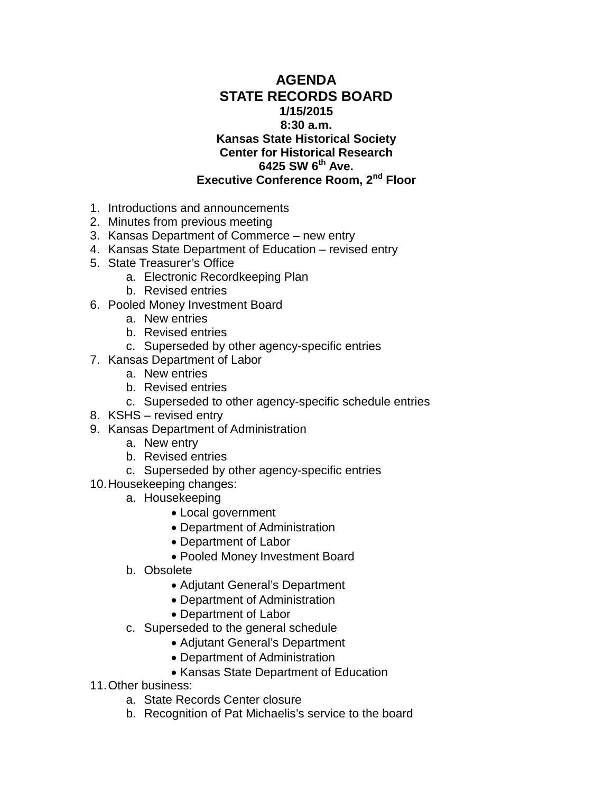## **AGENDA STATE RECORDS BOARD 1/15/2015 8:30 a.m. Kansas State Historical Society Center for Historical Research 6425 SW 6th Ave. Executive Conference Room, 2nd Floor**

- 1. Introductions and announcements
- 2. Minutes from previous meeting
- 3. Kansas Department of Commerce new entry
- 4. Kansas State Department of Education revised entry
- 5. State Treasurer's Office
	- a. Electronic Recordkeeping Plan
	- b. Revised entries
- 6. Pooled Money Investment Board
	- a. New entries
	- b. Revised entries
	- c. Superseded by other agency-specific entries
- 7. Kansas Department of Labor
	- a. New entries
	- b. Revised entries
	- c. Superseded to other agency-specific schedule entries
- 8. KSHS revised entry
- 9. Kansas Department of Administration
	- a. New entry
	- b. Revised entries
	- c. Superseded by other agency-specific entries
- 10.Housekeeping changes:
	- a. Housekeeping
		- Local government
		- Department of Administration
		- Department of Labor
		- Pooled Money Investment Board
	- b. Obsolete
		- Adjutant General's Department
		- Department of Administration
		- Department of Labor
	- c. Superseded to the general schedule
		- Adjutant General's Department
		- Department of Administration
		- Kansas State Department of Education
- 11.Other business:
	- a. State Records Center closure
	- b. Recognition of Pat Michaelis's service to the board